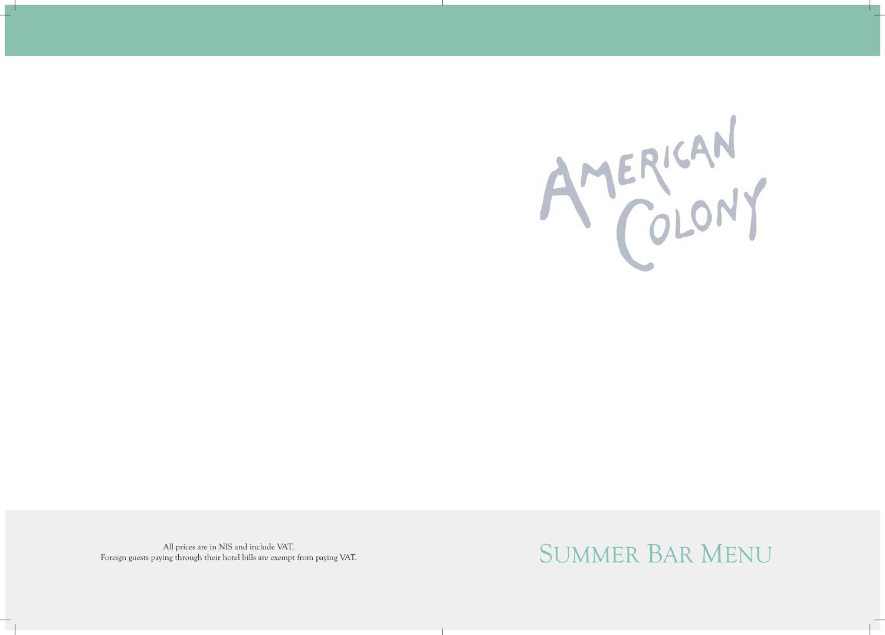

All prices are in NIS and include VAT.<br>
SUMMER BAR MENU Foreign guests paying through their hotel bills are exempt from paying VAT.

# AMERICAN